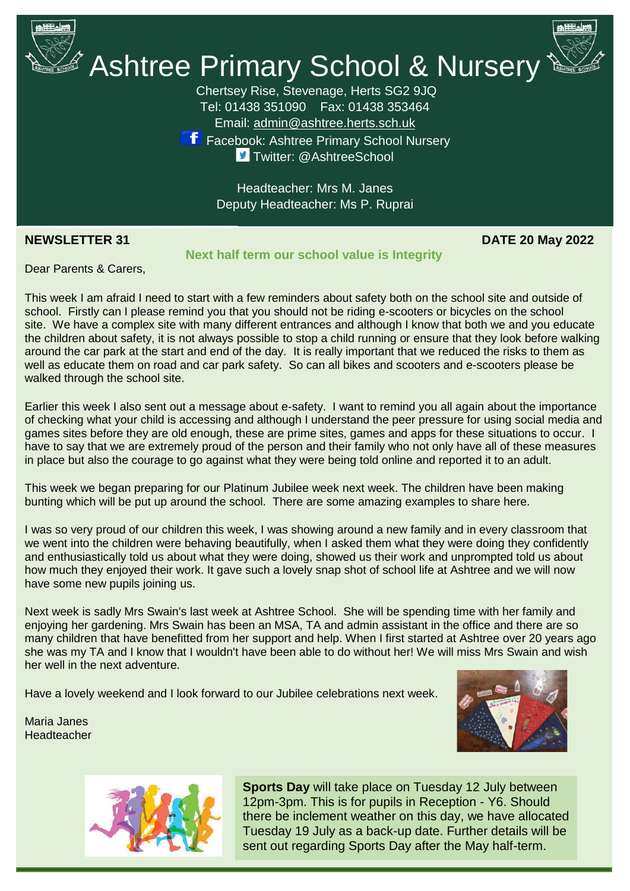

Maria Janes **Headteacher** 

### **Next half term our school value is Integrity**

**NEWSLETTER 31 DATE 20 May 2022**

Dear Parents & Carers,

around the car park at the start and end of the day. It is really important that we reduced the risks to them a<br>well as educate them on road and car park safety. So can all bikes and scooters and e-scooters please be This week I am afraid I need to start with a few reminders about safety both on the school site and outside of school. Firstly can I please remind you that you should not be riding e-scooters or bicycles on the school site. We have a complex site with many different entrances and although I know that both we and you educate the children about safety, it is not always possible to stop a child running or ensure that they look before walking around the car park at the start and end of the day. It is really important that we reduced the risks to them as walked through the school site.

Earlier this week I also sent out a message about e-safety. I want to remind you all again about the importance of checking what your child is accessing and although I understand the peer pressure for using social media and games sites before they are old enough, these are prime sites, games and apps for these situations to occur. I have to say that we are extremely proud of the person and their family who not only have all of these measures in place but also the courage to go against what they were being told online and reported it to an adult.

This week we began preparing for our Platinum Jubilee week next week. The children have been making bunting which will be put up around the school. There are some amazing examples to share here.

I was so very proud of our children this week, I was showing around a new family and in every classroom that we went into the children were behaving beautifully, when I asked them what they were doing they confidently and enthusiastically told us about what they were doing, showed us their work and unprompted told us about how much they enjoyed their work. It gave such a lovely snap shot of school life at Ashtree and we will now have some new pupils joining us.

Next week is sadly Mrs Swain's last week at Ashtree School. She will be spending time with her family and enjoying her gardening. Mrs Swain has been an MSA, TA and admin assistant in the office and there are so many children that have benefitted from her support and help. When I first started at Ashtree over 20 years ago she was my TA and I know that I wouldn't have been able to do without her! We will miss Mrs Swain and wish her well in the next adventure.

Have a lovely weekend and I look forward to our Jubilee celebrations next week.





**Sports Day** will take place on Tuesday 12 July between 12pm-3pm. This is for pupils in Reception - Y6. Should there be inclement weather on this day, we have allocated Tuesday 19 July as a back-up date. Further details will be sent out regarding Sports Day after the May half-term.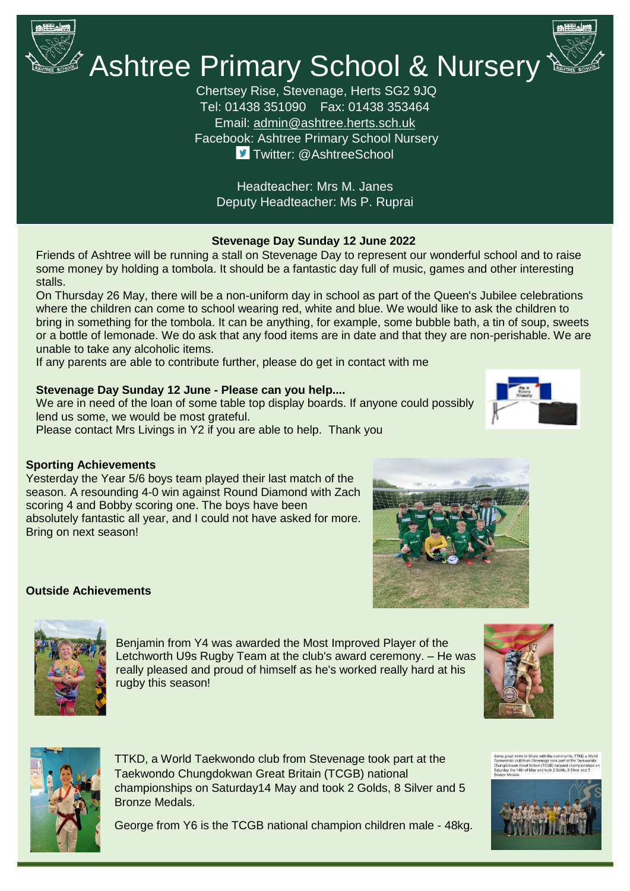

## $\mathscr A$  Ashtree Primary School & Nursery

Chertsey Rise, Stevenage, Herts SG2 9JQ Tel: 01438 351090 Fax: 01438 353464 Email: [admin@ashtree.herts.sch.uk](mailto:admin@ashtree.herts.sch.uk) Facebook: Ashtree Primary School Nursery **J** Twitter: @AshtreeSchool

Headteacher: Mrs M. Janes Deputy Headteacher: Ms P. Ruprai

#### **Stevenage Day Sunday 12 June 2022**

Friends of Ashtree will be running a stall on Stevenage Day to represent our wonderful school and to raise some money by holding a tombola. It should be a fantastic day full of music, games and other interesting stalls.

On Thursday 26 May, there will be a non-uniform day in school as part of the Queen's Jubilee celebrations where the children can come to school wearing red, white and blue. We would like to ask the children to bring in something for the tombola. It can be anything, for example, some bubble bath, a tin of soup, sweets or a bottle of lemonade. We do ask that any food items are in date and that they are non-perishable. We are unable to take any alcoholic items.

If any parents are able to contribute further, please do get in contact with me

#### **Stevenage Day Sunday 12 June - Please can you help....**

Yesterday the Year 5/6 boys team played their last match of the season. A resounding 4-0 win against Round Diamond with Zach

absolutely fantastic all year, and I could not have asked for more.

scoring 4 and Bobby scoring one. The boys have been

We are in need of the loan of some table top display boards. If anyone could possibly lend us some, we would be most grateful. Please contact Mrs Livings in Y2 if you are able to help. Thank you









Bring on next season!

**Sporting Achievements**



Benjamin from Y4 was awarded the Most Improved Player of the Letchworth U9s Rugby Team at the club's award ceremony. – He was really pleased and proud of himself as he's worked really hard at his rugby this season!





TTKD, a World Taekwondo club from Stevenage took part at the Taekwondo Chungdokwan Great Britain (TCGB) national championships on Saturday14 May and took 2 Golds, 8 Silver and 5 Bronze Medals.

George from Y6 is the TCGB national champion children male - 48kg.



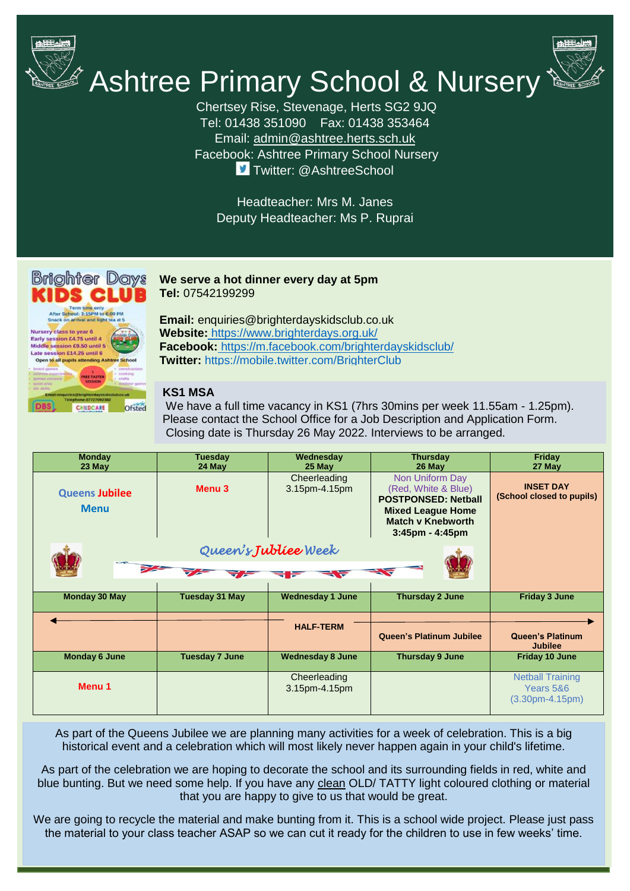

# **Ashtree Primary School & Nursery**

Chertsey Rise, Stevenage, Herts SG2 9JQ Tel: 01438 351090 Fax: 01438 353464 Email: [admin@ashtree.herts.sch.uk](mailto:admin@ashtree.herts.sch.uk) Facebook: Ashtree Primary School Nursery **J** Twitter: @AshtreeSchool

Headteacher: Mrs M. Janes Deputy Headteacher: Ms P. Ruprai



**Brighter Days we serve a hot dinner every day at 5pm Tel:** 07542199299

> **Email:** enquiries@brighterdayskidsclub.co.uk **Website[:](https://www.brighterdays.org.uk/)** <https://www.brighterdays.org.uk/> **Facebook[:](https://m.facebook.com/brighterdayskidsclub)** [https://m.facebook.com/brighterdayskidsclub/](https://m.facebook.com/brighterdayskidsclub) **Twitter[:](https://mobile.twitter.com/BrighterClub)** <https://mobile.twitter.com/BrighterClub>

#### **KS1 MSA**

We have a full time vacancy in KS1 (7hrs 30mins per week 11.55am - 1.25pm). Please contact the School Office for a Job Description and Application Form. Closing date is Thursday 26 May 2022. Interviews to be arranged.

| <b>Monday</b><br>23 May              | <b>Tuesday</b><br>24 May | Wednesday<br>25 May           | <b>Thursday</b><br>26 May                                                                                                                             | Friday<br>27 May                                          |
|--------------------------------------|--------------------------|-------------------------------|-------------------------------------------------------------------------------------------------------------------------------------------------------|-----------------------------------------------------------|
| <b>Queens Jubilee</b><br><b>Menu</b> | Menu <sub>3</sub>        | Cheerleading<br>3.15pm-4.15pm | Non Uniform Day<br>(Red, White & Blue)<br><b>POSTPONSED: Netball</b><br><b>Mixed League Home</b><br><b>Match v Knebworth</b><br>$3:45$ pm - $4:45$ pm | <b>INSET DAY</b><br>(School closed to pupils)             |
| Queen's Jublice Week                 |                          |                               |                                                                                                                                                       |                                                           |
|                                      |                          |                               |                                                                                                                                                       |                                                           |
| <b>Monday 30 May</b>                 | <b>Tuesday 31 May</b>    | <b>Wednesday 1 June</b>       | Thursday 2 June                                                                                                                                       | <b>Friday 3 June</b>                                      |
|                                      |                          | <b>HALF-TERM</b>              |                                                                                                                                                       |                                                           |
|                                      |                          |                               | <b>Queen's Platinum Jubilee</b>                                                                                                                       | <b>Queen's Platinum</b><br><b>Jubilee</b>                 |
| <b>Monday 6 June</b>                 | <b>Tuesday 7 June</b>    | <b>Wednesday 8 June</b>       | <b>Thursday 9 June</b>                                                                                                                                | <b>Friday 10 June</b>                                     |
| Menu 1                               |                          | Cheerleading<br>3.15pm-4.15pm |                                                                                                                                                       | <b>Netball Training</b><br>Years 5&6<br>$(3.30pm-4.15pm)$ |

As part of the Queens Jubilee we are planning many activities for a week of celebration. This is a big historical event and a celebration which will most likely never happen again in your child's lifetime.

As part of the celebration we are hoping to decorate the school and its surrounding fields in red, white and blue bunting. But we need some help. If you have any clean OLD/ TATTY light coloured clothing or material that you are happy to give to us that would be great.

We are going to recycle the material and make bunting from it. This is a school wide project. Please just pass the material to your class teacher ASAP so we can cut it ready for the children to use in few weeks' time.